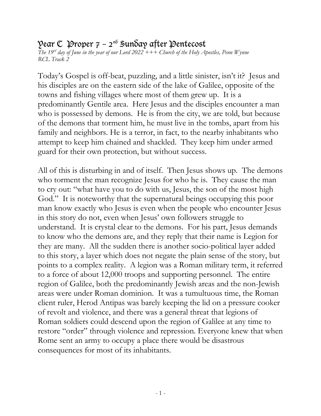## $\mathcal{V}$ ear  $\mathfrak{C}$  Proper 7 – 2<sup>nd</sup> Sunday after Pentecost

*The 19rd day of June in the year of our Lord 2022 +++ Church of the Holy Apostles, Penn Wynne RCL Track 2*

Today's Gospel is off-beat, puzzling, and a little sinister, isn't it? Jesus and his disciples are on the eastern side of the lake of Galilee, opposite of the towns and fishing villages where most of them grew up. It is a predominantly Gentile area. Here Jesus and the disciples encounter a man who is possessed by demons. He is from the city, we are told, but because of the demons that torment him, he must live in the tombs, apart from his family and neighbors. He is a terror, in fact, to the nearby inhabitants who attempt to keep him chained and shackled. They keep him under armed guard for their own protection, but without success.

All of this is disturbing in and of itself. Then Jesus shows up. The demons who torment the man recognize Jesus for who he is. They cause the man to cry out: "what have you to do with us, Jesus, the son of the most high God." It is noteworthy that the supernatural beings occupying this poor man know exactly who Jesus is even when the people who encounter Jesus in this story do not, even when Jesus' own followers struggle to understand. It is crystal clear to the demons. For his part, Jesus demands to know who the demons are, and they reply that their name is Legion for they are many. All the sudden there is another socio-political layer added to this story, a layer which does not negate the plain sense of the story, but points to a complex reality. A legion was a Roman military term, it referred to a force of about 12,000 troops and supporting personnel. The entire region of Galilee, both the predominantly Jewish areas and the non-Jewish areas were under Roman dominion. It was a tumultuous time, the Roman client ruler, Herod Antipas was barely keeping the lid on a pressure cooker of revolt and violence, and there was a general threat that legions of Roman soldiers could descend upon the region of Galilee at any time to restore "order" through violence and repression. Everyone knew that when Rome sent an army to occupy a place there would be disastrous consequences for most of its inhabitants.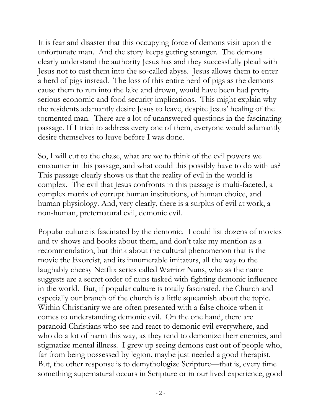It is fear and disaster that this occupying force of demons visit upon the unfortunate man. And the story keeps getting stranger. The demons clearly understand the authority Jesus has and they successfully plead with Jesus not to cast them into the so-called abyss. Jesus allows them to enter a herd of pigs instead. The loss of this entire herd of pigs as the demons cause them to run into the lake and drown, would have been had pretty serious economic and food security implications. This might explain why the residents adamantly desire Jesus to leave, despite Jesus' healing of the tormented man. There are a lot of unanswered questions in the fascinating passage. If I tried to address every one of them, everyone would adamantly desire themselves to leave before I was done.

So, I will cut to the chase, what are we to think of the evil powers we encounter in this passage, and what could this possibly have to do with us? This passage clearly shows us that the reality of evil in the world is complex. The evil that Jesus confronts in this passage is multi-faceted, a complex matrix of corrupt human institutions, of human choice, and human physiology. And, very clearly, there is a surplus of evil at work, a non-human, preternatural evil, demonic evil.

Popular culture is fascinated by the demonic. I could list dozens of movies and tv shows and books about them, and don't take my mention as a recommendation, but think about the cultural phenomenon that is the movie the Exorcist, and its innumerable imitators, all the way to the laughably cheesy Netflix series called Warrior Nuns, who as the name suggests are a secret order of nuns tasked with fighting demonic influence in the world. But, if popular culture is totally fascinated, the Church and especially our branch of the church is a little squeamish about the topic. Within Christianity we are often presented with a false choice when it comes to understanding demonic evil. On the one hand, there are paranoid Christians who see and react to demonic evil everywhere, and who do a lot of harm this way, as they tend to demonize their enemies, and stigmatize mental illness. I grew up seeing demons cast out of people who, far from being possessed by legion, maybe just needed a good therapist. But, the other response is to demythologize Scripture—that is, every time something supernatural occurs in Scripture or in our lived experience, good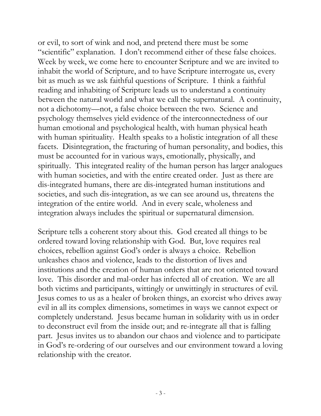or evil, to sort of wink and nod, and pretend there must be some "scientific" explanation. I don't recommend either of these false choices. Week by week, we come here to encounter Scripture and we are invited to inhabit the world of Scripture, and to have Scripture interrogate us, every bit as much as we ask faithful questions of Scripture. I think a faithful reading and inhabiting of Scripture leads us to understand a continuity between the natural world and what we call the supernatural. A continuity, not a dichotomy—not, a false choice between the two. Science and psychology themselves yield evidence of the interconnectedness of our human emotional and psychological health, with human physical heath with human spirituality. Health speaks to a holistic integration of all these facets. Disintegration, the fracturing of human personality, and bodies, this must be accounted for in various ways, emotionally, physically, and spiritually. This integrated reality of the human person has larger analogues with human societies, and with the entire created order. Just as there are dis-integrated humans, there are dis-integrated human institutions and societies, and such dis-integration, as we can see around us, threatens the integration of the entire world. And in every scale, wholeness and integration always includes the spiritual or supernatural dimension.

Scripture tells a coherent story about this. God created all things to be ordered toward loving relationship with God. But, love requires real choices, rebellion against God's order is always a choice. Rebellion unleashes chaos and violence, leads to the distortion of lives and institutions and the creation of human orders that are not oriented toward love. This disorder and mal-order has infected all of creation. We are all both victims and participants, wittingly or unwittingly in structures of evil. Jesus comes to us as a healer of broken things, an exorcist who drives away evil in all its complex dimensions, sometimes in ways we cannot expect or completely understand. Jesus became human in solidarity with us in order to deconstruct evil from the inside out; and re-integrate all that is falling part. Jesus invites us to abandon our chaos and violence and to participate in God's re-ordering of our ourselves and our environment toward a loving relationship with the creator.